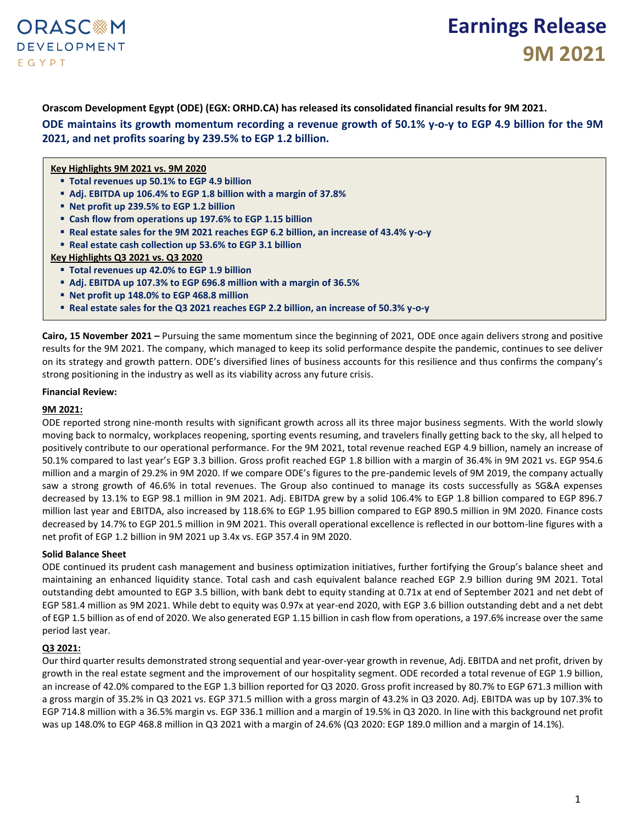

**Orascom Development Egypt (ODE) (EGX: ORHD.CA) has released its consolidated financial results for 9M 2021.**

**ODE maintains its growth momentum recording a revenue growth of 50.1% y-o-y to EGP 4.9 billion for the 9M 2021, and net profits soaring by 239.5% to EGP 1.2 billion.**

**Key Highlights 9M 2021 vs. 9M 2020**

- **Total revenues up 50.1% to EGP 4.9 billion**
- **Adj. EBITDA up 106.4% to EGP 1.8 billion with a margin of 37.8%**
- **Net profit up 239.5% to EGP 1.2 billion**
- **Cash flow from operations up 197.6% to EGP 1.15 billion**
- Real estate sales for the 9M 2021 reaches EGP 6.2 billion, an increase of 43.4% y-o-y
- **Real estate cash collection up 53.6% to EGP 3.1 billion**

**Key Highlights Q3 2021 vs. Q3 2020**

- **Total revenues up 42.0% to EGP 1.9 billion**
- **Adj. EBITDA up 107.3% to EGP 696.8 million with a margin of 36.5%**
- **Net profit up 148.0% to EGP 468.8 million**
- **Real estate sales for the Q3 2021 reaches EGP 2.2 billion, an increase of 50.3% y-o-y**

**Cairo, 15 November 2021 –** Pursuing the same momentum since the beginning of 2021, ODE once again delivers strong and positive results for the 9M 2021. The company, which managed to keep its solid performance despite the pandemic, continues to see deliver on its strategy and growth pattern. ODE's diversified lines of business accounts for this resilience and thus confirms the company's strong positioning in the industry as well as its viability across any future crisis.

#### **Financial Review:**

#### **9M 2021:**

ODE reported strong nine-month results with significant growth across all its three major business segments. With the world slowly moving back to normalcy, workplaces reopening, sporting events resuming, and travelers finally getting back to the sky, all helped to positively contribute to our operational performance. For the 9M 2021, total revenue reached EGP 4.9 billion, namely an increase of 50.1% compared to last year's EGP 3.3 billion. Gross profit reached EGP 1.8 billion with a margin of 36.4% in 9M 2021 vs. EGP 954.6 million and a margin of 29.2% in 9M 2020. If we compare ODE's figures to the pre-pandemic levels of 9M 2019, the company actually saw a strong growth of 46.6% in total revenues. The Group also continued to manage its costs successfully as SG&A expenses decreased by 13.1% to EGP 98.1 million in 9M 2021. Adj. EBITDA grew by a solid 106.4% to EGP 1.8 billion compared to EGP 896.7 million last year and EBITDA, also increased by 118.6% to EGP 1.95 billion compared to EGP 890.5 million in 9M 2020. Finance costs decreased by 14.7% to EGP 201.5 million in 9M 2021. This overall operational excellence is reflected in our bottom-line figures with a net profit of EGP 1.2 billion in 9M 2021 up 3.4x vs. EGP 357.4 in 9M 2020.

#### **Solid Balance Sheet**

ODE continued its prudent cash management and business optimization initiatives, further fortifying the Group's balance sheet and maintaining an enhanced liquidity stance. Total cash and cash equivalent balance reached EGP 2.9 billion during 9M 2021. Total outstanding debt amounted to EGP 3.5 billion, with bank debt to equity standing at 0.71x at end of September 2021 and net debt of EGP 581.4 million as 9M 2021. While debt to equity was 0.97x at year-end 2020, with EGP 3.6 billion outstanding debt and a net debt of EGP 1.5 billion as of end of 2020. We also generated EGP 1.15 billion in cash flow from operations, a 197.6% increase over the same period last year.

#### **Q3 2021:**

Our third quarter results demonstrated strong sequential and year-over-year growth in revenue, Adj. EBITDA and net profit, driven by growth in the real estate segment and the improvement of our hospitality segment. ODE recorded a total revenue of EGP 1.9 billion, an increase of 42.0% compared to the EGP 1.3 billion reported for Q3 2020. Gross profit increased by 80.7% to EGP 671.3 million with a gross margin of 35.2% in Q3 2021 vs. EGP 371.5 million with a gross margin of 43.2% in Q3 2020. Adj. EBITDA was up by 107.3% to EGP 714.8 million with a 36.5% margin vs. EGP 336.1 million and a margin of 19.5% in Q3 2020. In line with this background net profit was up 148.0% to EGP 468.8 million in Q3 2021 with a margin of 24.6% (Q3 2020: EGP 189.0 million and a margin of 14.1%).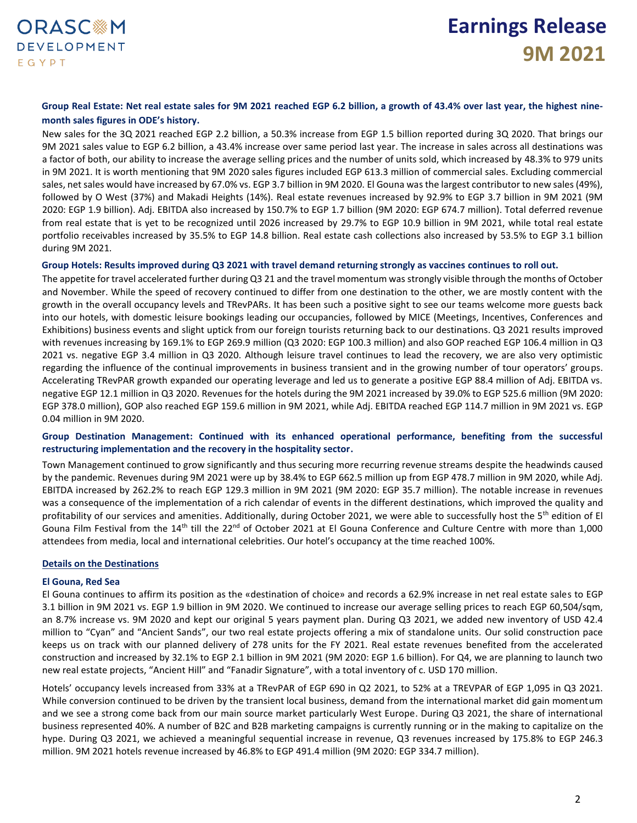#### **Group Real Estate: Net real estate sales for 9M 2021 reached EGP 6.2 billion, a growth of 43.4% over last year, the highest ninemonth sales figures in ODE's history.**

New sales for the 3Q 2021 reached EGP 2.2 billion, a 50.3% increase from EGP 1.5 billion reported during 3Q 2020. That brings our 9M 2021 sales value to EGP 6.2 billion, a 43.4% increase over same period last year. The increase in sales across all destinations was a factor of both, our ability to increase the average selling prices and the number of units sold, which increased by 48.3% to 979 units in 9M 2021. It is worth mentioning that 9M 2020 sales figures included EGP 613.3 million of commercial sales. Excluding commercial sales, net sales would have increased by 67.0% vs. EGP 3.7 billion in 9M 2020. El Gouna was the largest contributor to new sales (49%), followed by O West (37%) and Makadi Heights (14%). Real estate revenues increased by 92.9% to EGP 3.7 billion in 9M 2021 (9M 2020: EGP 1.9 billion). Adj. EBITDA also increased by 150.7% to EGP 1.7 billion (9M 2020: EGP 674.7 million). Total deferred revenue from real estate that is yet to be recognized until 2026 increased by 29.7% to EGP 10.9 billion in 9M 2021, while total real estate portfolio receivables increased by 35.5% to EGP 14.8 billion. Real estate cash collections also increased by 53.5% to EGP 3.1 billion during 9M 2021.

#### **Group Hotels: Results improved during Q3 2021 with travel demand returning strongly as vaccines continues to roll out.**

The appetite for travel accelerated further during Q3 21 and the travel momentum was strongly visible through the months of October and November. While the speed of recovery continued to differ from one destination to the other, we are mostly content with the growth in the overall occupancy levels and TRevPARs. It has been such a positive sight to see our teams welcome more guests back into our hotels, with domestic leisure bookings leading our occupancies, followed by MICE (Meetings, Incentives, Conferences and Exhibitions) business events and slight uptick from our foreign tourists returning back to our destinations. Q3 2021 results improved with revenues increasing by 169.1% to EGP 269.9 million (Q3 2020: EGP 100.3 million) and also GOP reached EGP 106.4 million in Q3 2021 vs. negative EGP 3.4 million in Q3 2020. Although leisure travel continues to lead the recovery, we are also very optimistic regarding the influence of the continual improvements in business transient and in the growing number of tour operators' groups. Accelerating TRevPAR growth expanded our operating leverage and led us to generate a positive EGP 88.4 million of Adj. EBITDA vs. negative EGP 12.1 million in Q3 2020. Revenues for the hotels during the 9M 2021 increased by 39.0% to EGP 525.6 million (9M 2020: EGP 378.0 million), GOP also reached EGP 159.6 million in 9M 2021, while Adj. EBITDA reached EGP 114.7 million in 9M 2021 vs. EGP 0.04 million in 9M 2020.

#### **Group Destination Management: Continued with its enhanced operational performance, benefiting from the successful restructuring implementation and the recovery in the hospitality sector.**

Town Management continued to grow significantly and thus securing more recurring revenue streams despite the headwinds caused by the pandemic. Revenues during 9M 2021 were up by 38.4% to EGP 662.5 million up from EGP 478.7 million in 9M 2020, while Adj. EBITDA increased by 262.2% to reach EGP 129.3 million in 9M 2021 (9M 2020: EGP 35.7 million). The notable increase in revenues was a consequence of the implementation of a rich calendar of events in the different destinations, which improved the quality and profitability of our services and amenities. Additionally, during October 2021, we were able to successfully host the 5<sup>th</sup> edition of El Gouna Film Festival from the 14<sup>th</sup> till the 22<sup>nd</sup> of October 2021 at El Gouna Conference and Culture Centre with more than 1,000 attendees from media, local and international celebrities. Our hotel's occupancy at the time reached 100%.

#### **Details on the Destinations**

#### **El Gouna, Red Sea**

El Gouna continues to affirm its position as the «destination of choice» and records a 62.9% increase in net real estate sales to EGP 3.1 billion in 9M 2021 vs. EGP 1.9 billion in 9M 2020. We continued to increase our average selling prices to reach EGP 60,504/sqm, an 8.7% increase vs. 9M 2020 and kept our original 5 years payment plan. During Q3 2021, we added new inventory of USD 42.4 million to "Cyan" and "Ancient Sands", our two real estate projects offering a mix of standalone units. Our solid construction pace keeps us on track with our planned delivery of 278 units for the FY 2021. Real estate revenues benefited from the accelerated construction and increased by 32.1% to EGP 2.1 billion in 9M 2021 (9M 2020: EGP 1.6 billion). For Q4, we are planning to launch two new real estate projects, "Ancient Hill" and "Fanadir Signature", with a total inventory of c. USD 170 million.

Hotels' occupancy levels increased from 33% at a TRevPAR of EGP 690 in Q2 2021, to 52% at a TREVPAR of EGP 1,095 in Q3 2021. While conversion continued to be driven by the transient local business, demand from the international market did gain momentum and we see a strong come back from our main source market particularly West Europe. During Q3 2021, the share of international business represented 40%. A number of B2C and B2B marketing campaigns is currently running or in the making to capitalize on the hype. During Q3 2021, we achieved a meaningful sequential increase in revenue, Q3 revenues increased by 175.8% to EGP 246.3 million. 9M 2021 hotels revenue increased by 46.8% to EGP 491.4 million (9M 2020: EGP 334.7 million).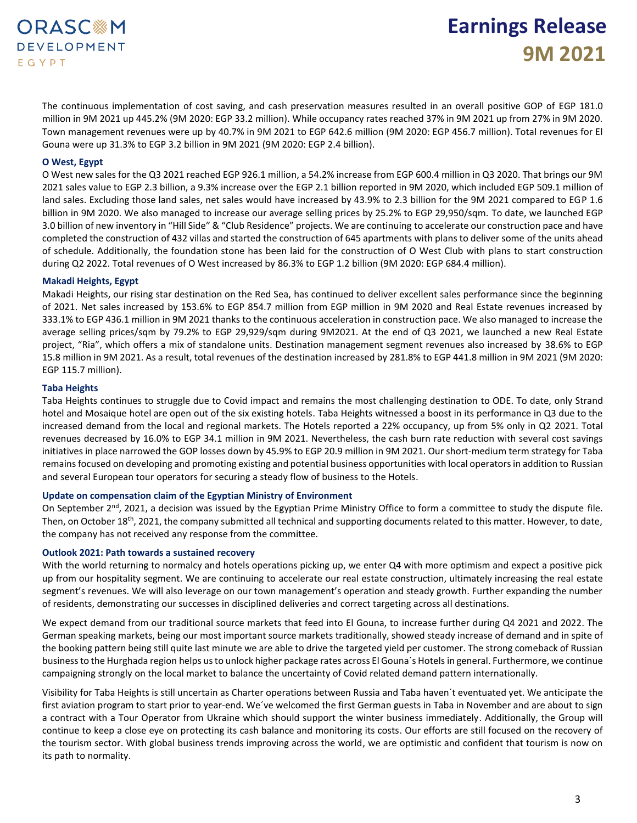### **ORASC**&M **DEVELOPMENT** EGYPT

## **Earnings Release 9M 2021**

The continuous implementation of cost saving, and cash preservation measures resulted in an overall positive GOP of EGP 181.0 million in 9M 2021 up 445.2% (9M 2020: EGP 33.2 million). While occupancy rates reached 37% in 9M 2021 up from 27% in 9M 2020. Town management revenues were up by 40.7% in 9M 2021 to EGP 642.6 million (9M 2020: EGP 456.7 million). Total revenues for El Gouna were up 31.3% to EGP 3.2 billion in 9M 2021 (9M 2020: EGP 2.4 billion).

#### **O West, Egypt**

O West new sales for the Q3 2021 reached EGP 926.1 million, a 54.2% increase from EGP 600.4 million in Q3 2020. That brings our 9M 2021 sales value to EGP 2.3 billion, a 9.3% increase over the EGP 2.1 billion reported in 9M 2020, which included EGP 509.1 million of land sales. Excluding those land sales, net sales would have increased by 43.9% to 2.3 billion for the 9M 2021 compared to EGP 1.6 billion in 9M 2020. We also managed to increase our average selling prices by 25.2% to EGP 29,950/sqm. To date, we launched EGP 3.0 billion of new inventory in "Hill Side" & "Club Residence" projects. We are continuing to accelerate our construction pace and have completed the construction of 432 villas and started the construction of 645 apartments with plans to deliver some of the units ahead of schedule. Additionally, the foundation stone has been laid for the construction of O West Club with plans to start construction during Q2 2022. Total revenues of O West increased by 86.3% to EGP 1.2 billion (9M 2020: EGP 684.4 million).

#### **Makadi Heights, Egypt**

Makadi Heights, our rising star destination on the Red Sea, has continued to deliver excellent sales performance since the beginning of 2021. Net sales increased by 153.6% to EGP 854.7 million from EGP million in 9M 2020 and Real Estate revenues increased by 333.1% to EGP 436.1 million in 9M 2021 thanks to the continuous acceleration in construction pace. We also managed to increase the average selling prices/sqm by 79.2% to EGP 29,929/sqm during 9M2021. At the end of Q3 2021, we launched a new Real Estate project, "Ria", which offers a mix of standalone units. Destination management segment revenues also increased by 38.6% to EGP 15.8 million in 9M 2021. As a result, total revenues of the destination increased by 281.8% to EGP 441.8 million in 9M 2021 (9M 2020: EGP 115.7 million).

#### **Taba Heights**

Taba Heights continues to struggle due to Covid impact and remains the most challenging destination to ODE. To date, only Strand hotel and Mosaique hotel are open out of the six existing hotels. Taba Heights witnessed a boost in its performance in Q3 due to the increased demand from the local and regional markets. The Hotels reported a 22% occupancy, up from 5% only in Q2 2021. Total revenues decreased by 16.0% to EGP 34.1 million in 9M 2021. Nevertheless, the cash burn rate reduction with several cost savings initiatives in place narrowed the GOP losses down by 45.9% to EGP 20.9 million in 9M 2021. Our short-medium term strategy for Taba remains focused on developing and promoting existing and potential business opportunities with local operators in addition to Russian and several European tour operators for securing a steady flow of business to the Hotels.

#### **Update on compensation claim of the Egyptian Ministry of Environment**

On September 2<sup>nd</sup>, 2021, a decision was issued by the Egyptian Prime Ministry Office to form a committee to study the dispute file. Then, on October 18<sup>th</sup>, 2021, the company submitted all technical and supporting documents related to this matter. However, to date, the company has not received any response from the committee.

#### **Outlook 2021: Path towards a sustained recovery**

With the world returning to normalcy and hotels operations picking up, we enter Q4 with more optimism and expect a positive pick up from our hospitality segment. We are continuing to accelerate our real estate construction, ultimately increasing the real estate segment's revenues. We will also leverage on our town management's operation and steady growth. Further expanding the number of residents, demonstrating our successes in disciplined deliveries and correct targeting across all destinations.

We expect demand from our traditional source markets that feed into El Gouna, to increase further during Q4 2021 and 2022. The German speaking markets, being our most important source markets traditionally, showed steady increase of demand and in spite of the booking pattern being still quite last minute we are able to drive the targeted yield per customer. The strong comeback of Russian business to the Hurghada region helps us to unlock higher package rates across El Gouna´s Hotels in general. Furthermore, we continue campaigning strongly on the local market to balance the uncertainty of Covid related demand pattern internationally.

Visibility for Taba Heights is still uncertain as Charter operations between Russia and Taba haven´t eventuated yet. We anticipate the first aviation program to start prior to year-end. We´ve welcomed the first German guests in Taba in November and are about to sign a contract with a Tour Operator from Ukraine which should support the winter business immediately. Additionally, the Group will continue to keep a close eye on protecting its cash balance and monitoring its costs. Our efforts are still focused on the recovery of the tourism sector. With global business trends improving across the world, we are optimistic and confident that tourism is now on its path to normality.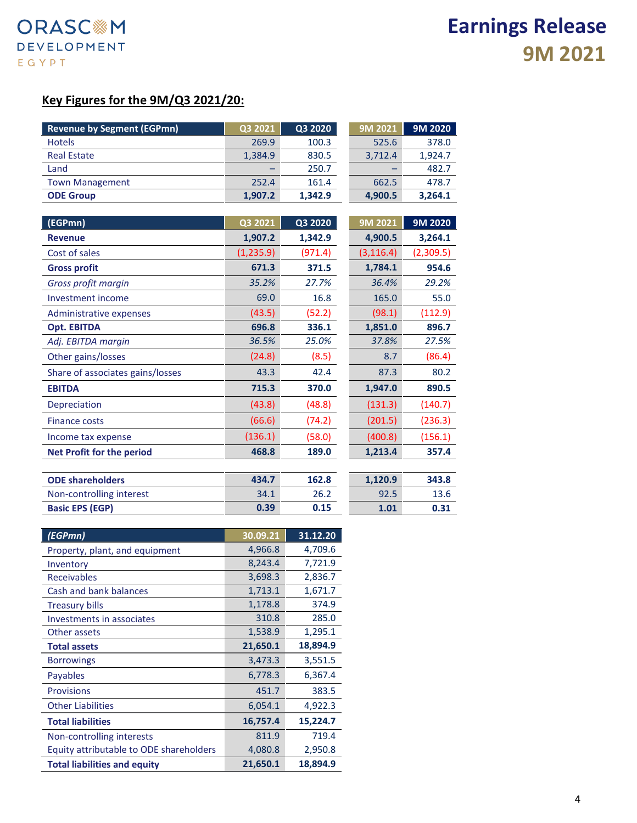### **Key Figures for the 9M/Q3 2021/20:**

| <b>Revenue by Segment (EGPmn)</b> | Q3 2021    | Q3 2020 | 9M 2021    | 9M 2020   |
|-----------------------------------|------------|---------|------------|-----------|
| <b>Hotels</b>                     | 269.9      | 100.3   | 525.6      | 378.0     |
| <b>Real Estate</b>                | 1,384.9    | 830.5   | 3,712.4    | 1,924.7   |
| Land                              |            | 250.7   |            | 482.7     |
| <b>Town Management</b>            | 252.4      | 161.4   | 662.5      | 478.7     |
| <b>ODE Group</b>                  | 1,907.2    | 1,342.9 | 4,900.5    | 3,264.1   |
|                                   |            |         |            |           |
| (EGPmn)                           | Q3 2021    | Q3 2020 | 9M 2021    | 9M 2020   |
| <b>Revenue</b>                    | 1,907.2    | 1,342.9 | 4,900.5    | 3,264.1   |
| Cost of sales                     | (1, 235.9) | (971.4) | (3, 116.4) | (2,309.5) |
| <b>Gross profit</b>               | 671.3      | 371.5   | 1,784.1    | 954.6     |
| Gross profit margin               | 35.2%      | 27.7%   | 36.4%      | 29.2%     |
| Investment income                 | 69.0       | 16.8    | 165.0      | 55.0      |
| Administrative expenses           | (43.5)     | (52.2)  | (98.1)     | (112.9)   |
| <b>Opt. EBITDA</b>                | 696.8      | 336.1   | 1,851.0    | 896.7     |
| Adj. EBITDA margin                | 36.5%      | 25.0%   | 37.8%      | 27.5%     |
| Other gains/losses                | (24.8)     | (8.5)   | 8.7        | (86.4)    |
| Share of associates gains/losses  | 43.3       | 42.4    | 87.3       | 80.2      |
| <b>EBITDA</b>                     | 715.3      | 370.0   | 1,947.0    | 890.5     |
| Depreciation                      | (43.8)     | (48.8)  | (131.3)    | (140.7)   |
| <b>Finance costs</b>              | (66.6)     | (74.2)  | (201.5)    | (236.3)   |
| Income tax expense                | (136.1)    | (58.0)  | (400.8)    | (156.1)   |
| <b>Net Profit for the period</b>  | 468.8      | 189.0   | 1,213.4    | 357.4     |
|                                   |            |         |            |           |
| <b>ODE shareholders</b>           | 434.7      | 162.8   | 1,120.9    | 343.8     |
| Non-controlling interest          | 34.1       | 26.2    | 92.5       | 13.6      |
| <b>Basic EPS (EGP)</b>            | 0.39       | 0.15    | 1.01       | 0.31      |

| (EGPmn)                                 | 30.09.21 | 31.12.20 |
|-----------------------------------------|----------|----------|
| Property, plant, and equipment          | 4,966.8  | 4,709.6  |
| Inventory                               | 8,243.4  | 7,721.9  |
| <b>Receivables</b>                      | 3,698.3  | 2,836.7  |
| Cash and bank balances                  | 1,713.1  | 1,671.7  |
| <b>Treasury bills</b>                   | 1,178.8  | 374.9    |
| Investments in associates               | 310.8    | 285.0    |
| Other assets                            | 1,538.9  | 1,295.1  |
| <b>Total assets</b>                     | 21,650.1 | 18,894.9 |
| <b>Borrowings</b>                       | 3,473.3  | 3,551.5  |
| Payables                                | 6,778.3  | 6,367.4  |
| <b>Provisions</b>                       | 451.7    | 383.5    |
| <b>Other Liabilities</b>                | 6,054.1  | 4,922.3  |
| <b>Total liabilities</b>                | 16,757.4 | 15,224.7 |
| Non-controlling interests               | 811.9    | 719.4    |
| Equity attributable to ODE shareholders | 4,080.8  | 2,950.8  |
| <b>Total liabilities and equity</b>     | 21,650.1 | 18,894.9 |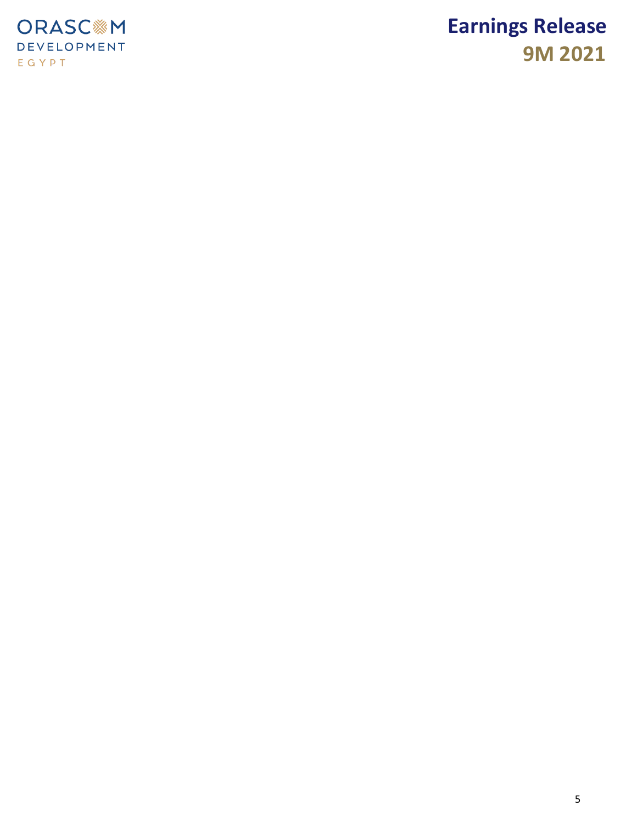